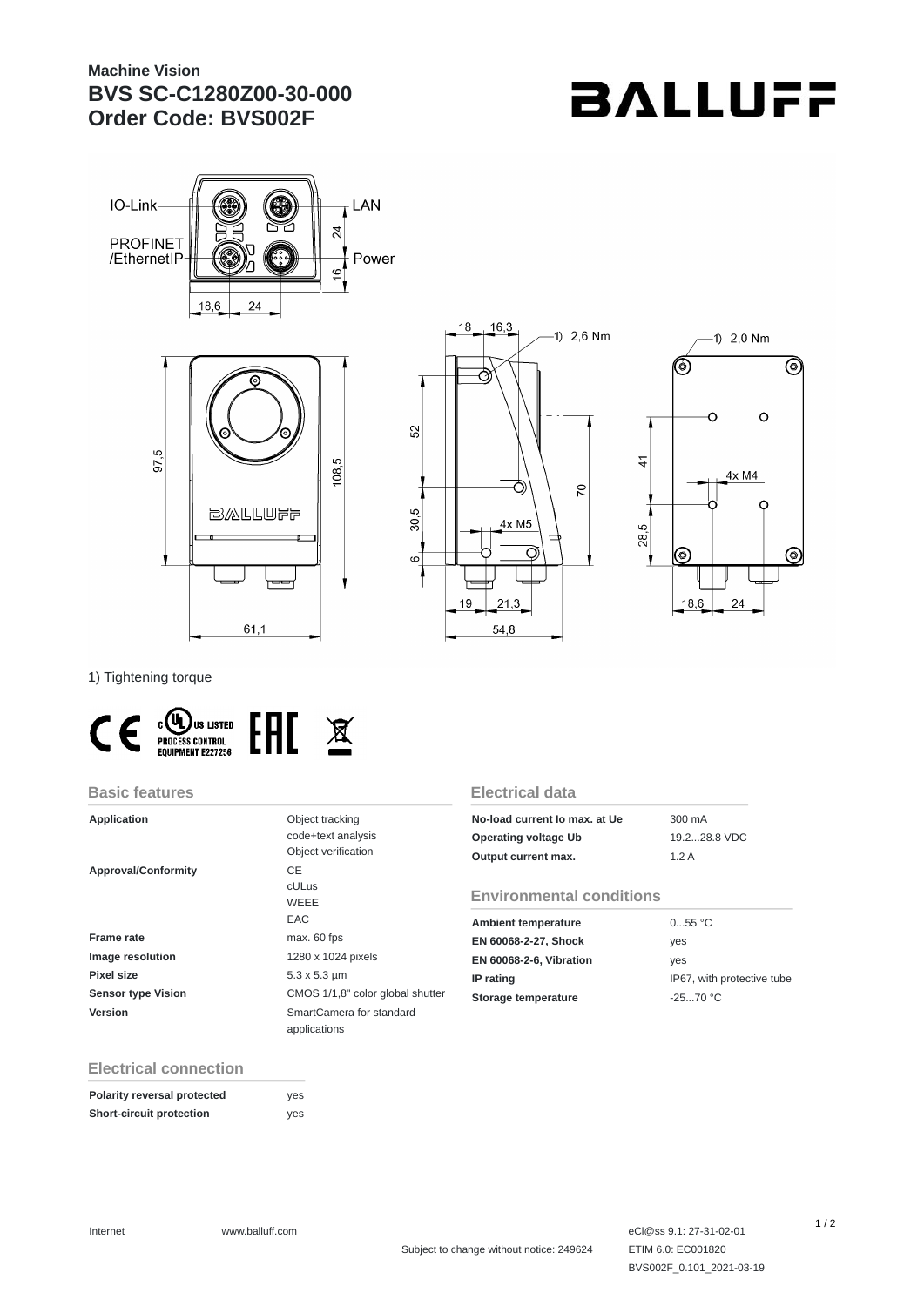# **Machine Vision BVS SC-C1280Z00-30-000 Order Code: BVS002F**

# **BALLUFF**









1) Tightening torque



#### **Basic features**

| <b>Application</b>         | Object tracking<br>code+text analysis |
|----------------------------|---------------------------------------|
|                            | Object verification                   |
| <b>Approval/Conformity</b> | CE                                    |
|                            | <b>cULus</b>                          |
|                            | WEEE                                  |
|                            | EAC                                   |
| Frame rate                 | max. 60 fps                           |
| <b>Image resolution</b>    | 1280 x 1024 pixels                    |
| Pixel size                 | $5.3 \times 5.3 \mu m$                |
| <b>Sensor type Vision</b>  | CMOS 1/1,8" color global shutter      |
| Version                    | SmartCamera for standard              |
|                            | applications                          |

### **Electrical data**

| No-load current lo max, at Ue | 300 mA       |
|-------------------------------|--------------|
| Operating voltage Ub          | 19.228.8 VDC |
| Output current max.           | 1.2A         |

### **Environmental conditions**

| <b>Ambient temperature</b>     | 055 °C                     |
|--------------------------------|----------------------------|
| EN 60068-2-27, Shock           | ves                        |
| <b>EN 60068-2-6, Vibration</b> | ves                        |
| IP rating                      | IP67, with protective tube |
| Storage temperature            | $-2570 °C$                 |

## **Electrical connection**

| Polarity reversal protected     | yes |
|---------------------------------|-----|
| <b>Short-circuit protection</b> | yes |